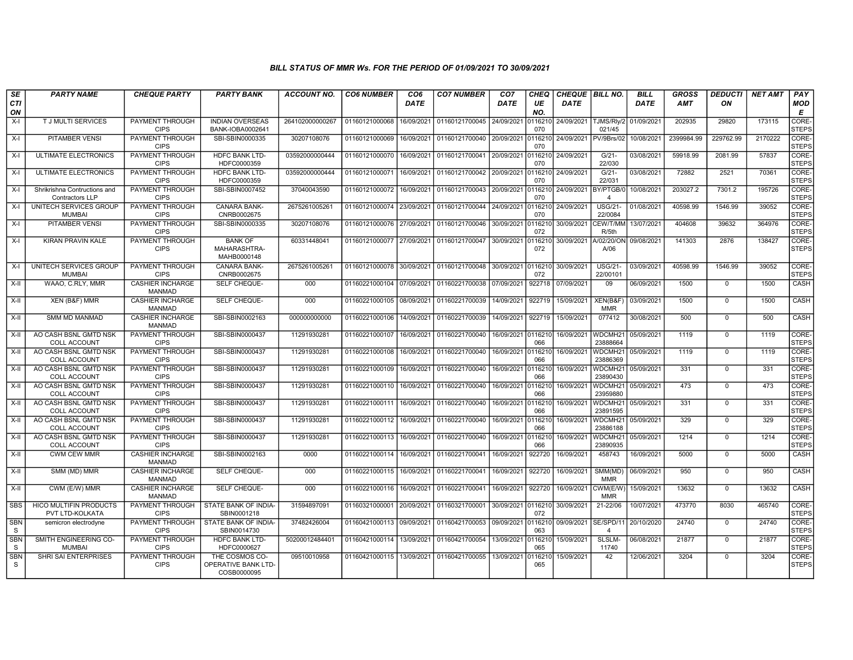## BILL STATUS OF MMR Ws. FOR THE PERIOD OF 01/09/2021 TO 30/09/2021

| SE              | <b>PARTY NAME</b>                                | <b>CHEQUE PARTY</b>                      | <b>PARTY BANK</b>                                           | <b>ACCOUNT NO.</b> | <b>CO6 NUMBER</b>         | CO <sub>6</sub> | <b>CO7 NUMBER</b>                            | CO <sub>7</sub> | <b>CHEQ</b>    | <b>CHEQUE   BILL NO.</b> |                                 | <b>BILL</b> | <b>GROSS</b> | <b>DEDUCTI</b> | <b>NET AMT</b> | PAY                   |
|-----------------|--------------------------------------------------|------------------------------------------|-------------------------------------------------------------|--------------------|---------------------------|-----------------|----------------------------------------------|-----------------|----------------|--------------------------|---------------------------------|-------------|--------------|----------------|----------------|-----------------------|
| CTI<br>ON       |                                                  |                                          |                                                             |                    |                           | <b>DATE</b>     |                                              | <b>DATE</b>     | UE<br>NO.      | <b>DATE</b>              |                                 | <b>DATE</b> | <b>AMT</b>   | ON             |                | MOD<br>E              |
| $X-I$           | <b>TJ MULTI SERVICES</b>                         | <b>PAYMENT THROUGH</b><br><b>CIPS</b>    | <b>INDIAN OVERSEAS</b><br>BANK-IOBA0002641                  | 264102000000267    | 01160121000068            | 16/09/2021      | 01160121700045 24/09/2021                    |                 | 0116210<br>070 |                          | 24/09/2021 TJMS/Rly/2<br>021/45 | 01/09/2021  | 202935       | 29820          | 173115         | CORE-<br><b>STEPS</b> |
| $X-I$           | <b>PITAMBER VENSI</b>                            | PAYMENT THROUGH<br><b>CIPS</b>           | SBI-SBIN0000335                                             | 30207108076        | 01160121000069            | 16/09/2021      | 01160121700040                               | 20/09/2021      | 116210<br>070  | 24/09/2021 PV/9Brs/02    |                                 | 10/08/2021  | 2399984.99   | 229762.99      | 2170222        | CORE-<br><b>STEPS</b> |
| $X-I$           | ULTIMATE ELECTRONICS                             | PAYMENT THROUGH<br><b>CIPS</b>           | <b>HDFC BANK LTD-</b><br>HDFC0000359                        | 03592000000444     | 01160121000070            | 16/09/2021      | 01160121700041                               | 20/09/2021      | 0116210<br>070 | 24/09/2021               | $G/21-$<br>22/030               | 03/08/2021  | 59918.99     | 2081.99        | 57837          | CORE-<br><b>STEPS</b> |
| $X-I$           | ULTIMATE ELECTRONICS                             | PAYMENT THROUGH<br><b>CIPS</b>           | <b>HDFC BANK LTD-</b><br>HDFC0000359                        | 03592000000444     | 01160121000071            | 16/09/2021      | 01160121700042                               | 20/09/2021      | 116210<br>070  | 24/09/2021               | $G/21-$<br>22/031               | 03/08/2021  | 72882        | 2521           | 70361          | CORE-<br><b>STEPS</b> |
| $X-I$           | Shrikrishna Contructions and<br>Contractors LLP  | <b>PAYMENT THROUGH</b><br><b>CIPS</b>    | SBI-SBIN0007452                                             | 37040043590        | 01160121000072            | 16/09/2021      | 01160121700043                               | 20/09/2021      | 0116210<br>070 | 24/09/2021               | BY/PTGB/<br>$\overline{a}$      | 10/08/2021  | 203027.2     | 7301.2         | 195726         | CORE-<br><b>STEPS</b> |
| $X-I$           | UNITECH SERVICES GROUP<br><b>MUMBAI</b>          | <b>PAYMENT THROUGH</b><br><b>CIPS</b>    | <b>CANARA BANK-</b><br>CNRB0002675                          | 2675261005261      | 01160121000074            | 23/09/2021      | 01160121700044 24/09/2021 0116210 24/09/2021 |                 | 070            |                          | <b>USG/21-</b><br>22/0084       | 01/08/2021  | 40598.99     | 1546.99        | 39052          | CORE-<br><b>STEPS</b> |
| $X-I$           | PITAMBER VENSI                                   | PAYMENT THROUGH<br><b>CIPS</b>           | SBI-SBIN0000335                                             | 30207108076        | 01160121000076            | 27/09/2021      | 01160121700046                               | 30/09/2021      | 116210<br>072  | 30/09/2021               | CEW/T/MM<br>R/5th               | 13/07/2021  | 404608       | 39632          | 364976         | CORE-<br><b>STEPS</b> |
| $X-I$           | KIRAN PRAVIN KALE                                | PAYMENT THROUGH<br><b>CIPS</b>           | <b>BANK OF</b><br>MAHARASHTRA-<br>MAHB0000148               | 60331448041        | 01160121000077            | 27/09/2021      | 01160121700047                               | 30/09/2021      | 0116210<br>072 | 30/09/2021               | A/02/20/ON<br>A/06              | 09/08/2021  | 141303       | 2876           | 138427         | CORE-<br><b>STEPS</b> |
| $X-I$           | UNITECH SERVICES GROUP<br><b>MUMBAI</b>          | PAYMENT THROUGH<br><b>CIPS</b>           | <b>CANARA BANK-</b><br>CNRB0002675                          | 2675261005261      | 01160121000078            | 30/09/2021      | 01160121700048                               | 30/09/2021      | 0116210<br>072 | 30/09/2021               | <b>USG/21-</b><br>22/00101      | 03/09/2021  | 40598.99     | 1546.99        | 39052          | CORE-<br><b>STEPS</b> |
| $X-II$          | WAAO, C.RLY, MMR                                 | <b>CASHIER INCHARGE</b><br><b>MANMAD</b> | SELF CHEQUE-                                                | 000                | 01160221000104            | 07/09/2021      | 01160221700038                               | 07/09/2021      | 922718         | 07/09/2021               | 09                              | 06/09/2021  | 1500         | $\mathbf 0$    | 1500           | CASH                  |
| $X-H$           | XEN (B&F) MMR                                    | <b>CASHIER INCHARGE</b><br><b>MANMAD</b> | SELF CHEQUE-                                                | 000                | 01160221000105            | 08/09/2021      | 01160221700039                               | 14/09/2021      | 922719         | 15/09/2021               | XEN(B&F)<br><b>MMR</b>          | 03/09/2021  | 1500         | $\mathbf 0$    | 1500           | <b>CASH</b>           |
| $X-H$           | <b>SMM MD MANMAD</b>                             | <b>CASHIER INCHARGE</b><br><b>MANMAD</b> | SBI-SBIN0002163                                             | 000000000000       | 01160221000106            | 14/09/2021      | 01160221700039                               | 14/09/2021      | 922719         | 15/09/2021               | 077412                          | 30/08/2021  | 500          | $\mathbf 0$    | 500            | <b>CASH</b>           |
| X-II            | AO CASH BSNL GMTD NSK<br><b>COLL ACCOUNT</b>     | PAYMENT THROUGH<br><b>CIPS</b>           | SBI-SBIN0000437                                             | 11291930281        | 01160221000107            | 16/09/2021      | 01160221700040                               | 16/09/2021      | 0116210<br>066 | 16/09/2021               | WDCMH <sub>21</sub><br>23888664 | 05/09/2021  | 1119         | $\mathbf 0$    | 1119           | CORE-<br><b>STEPS</b> |
| $X-II$          | AO CASH BSNL GMTD NSK<br><b>COLL ACCOUNT</b>     | PAYMENT THROUGH<br><b>CIPS</b>           | SBI-SBIN0000437                                             | 11291930281        | 01160221000108            | 16/09/2021      | 01160221700040                               | 16/09/2021      | 0116210<br>066 | 16/09/2021               | WDCMH <sub>21</sub><br>23886369 | 05/09/2021  | 1119         | $\mathbf 0$    | 1119           | CORE-<br><b>STEPS</b> |
| X-II            | AO CASH BSNL GMTD NSK<br><b>COLL ACCOUNT</b>     | PAYMENT THROUGH<br><b>CIPS</b>           | SBI-SBIN0000437                                             | 11291930281        | 01160221000109            | 16/09/2021      | 01160221700040                               | 16/09/2021      | 0116210<br>066 | 16/09/2021               | WDCMH21<br>23890430             | 05/09/2021  | 331          | $\mathbf 0$    | 331            | CORE-<br><b>STEPS</b> |
| $X-H$           | AO CASH BSNL GMTD NSK<br><b>COLL ACCOUNT</b>     | <b>PAYMENT THROUGH</b><br><b>CIPS</b>    | SBI-SBIN0000437                                             | 11291930281        | 01160221000110            | 16/09/2021      | 01160221700040                               | 16/09/2021      | 0116210<br>066 | 16/09/2021               | WDCMH21<br>23959880             | 05/09/2021  | 473          | $\mathbf{0}$   | 473            | CORE-<br><b>STEPS</b> |
| $X-II$          | AO CASH BSNL GMTD NSK<br><b>COLL ACCOUNT</b>     | PAYMENT THROUGH<br><b>CIPS</b>           | SBI-SBIN0000437                                             | 11291930281        | 01160221000111            | 16/09/2021      | 01160221700040                               | 16/09/2021      | 0116210<br>066 | 16/09/2021               | WDCMH <sub>21</sub><br>23891595 | 05/09/2021  | 331          | $\Omega$       | 331            | CORE-<br><b>STEPS</b> |
| X-II            | AO CASH BSNL GMTD NSK<br>COLL ACCOUNT            | PAYMENT THROUGH<br><b>CIPS</b>           | SBI-SBIN0000437                                             | 11291930281        | 01160221000112            | 16/09/2021      | 01160221700040                               | 16/09/2021      | 116210<br>066  | 16/09/2021               | WDCMH21<br>23886188             | 05/09/2021  | 329          | $\mathbf 0$    | 329            | CORE-<br><b>STEPS</b> |
| $X-H$           | AO CASH BSNL GMTD NSK<br><b>COLL ACCOUNT</b>     | PAYMENT THROUGH<br><b>CIPS</b>           | SBI-SBIN0000437                                             | 11291930281        | 01160221000113            | 16/09/2021      | 01160221700040                               | 16/09/2021      | 011621<br>066  | 16/09/2021               | WDCMH <sub>21</sub><br>23890935 | 05/09/2021  | 1214         | $\Omega$       | 1214           | CORE-<br><b>STEPS</b> |
| X-II            | <b>CWM CEW MMR</b>                               | <b>CASHIER INCHARGE</b><br><b>MANMAD</b> | SBI-SBIN0002163                                             | 0000               | 01160221000114            | 16/09/2021      | 01160221700041                               | 16/09/2021      | 922720         | 16/09/2021               | 458743                          | 16/09/2021  | 5000         | $\mathbf{0}$   | 5000           | <b>CASH</b>           |
| $X-H$           | SMM (MD) MMR                                     | <b>CASHIER INCHARGE</b><br><b>MANMAD</b> | SELF CHEQUE-                                                | 000                | 01160221000115            | 16/09/2021      | 01160221700041                               | 16/09/2021      | 922720         | 16/09/2021               | SMM(MD)<br><b>MMR</b>           | 06/09/2021  | 950          | $\mathbf 0$    | 950            | <b>CASH</b>           |
| X-II            | CWM (E/W) MMR                                    | <b>CASHIER INCHARGE</b><br><b>MANMAD</b> | SELF CHEQUE-                                                | 000                | 01160221000116            | 16/09/2021      | 01160221700041                               | 16/09/2021      | 922720         | 16/09/2021               | CWM(E/W<br><b>MMR</b>           | 15/09/2021  | 13632        | $\Omega$       | 13632          | CASH                  |
| <b>SBS</b>      | <b>HICO MULTIFIN PRODUCTS</b><br>PVT LTD-KOLKATA | PAYMENT THROUGH<br><b>CIPS</b>           | STATE BANK OF INDIA-<br>SBIN0001218                         | 31594897091        | 01160321000001            | 20/09/2021      | 01160321700001                               | 30/09/2021      | 0116210<br>072 | 30/09/2021               | 21-22/06                        | 10/07/2021  | 473770       | 8030           | 465740         | CORE-<br><b>STEPS</b> |
| <b>SBN</b><br>S | semicron electrodyne                             | PAYMENT THROUGH<br><b>CIPS</b>           | STATE BANK OF INDIA-<br>SBIN0014730                         | 37482426004        | 01160421000113 09/09/2021 |                 | 01160421700053                               | 09/09/2021      | 0116210<br>063 | 09/09/2021               | SE/SPD/1<br>$\Delta$            | 20/10/2020  | 24740        | $\mathbf{0}$   | 24740          | CORE-<br><b>STEPS</b> |
| <b>SBN</b><br>S | SMITH ENGINEERING CO-<br><b>MUMBAI</b>           | <b>PAYMENT THROUGH</b><br><b>CIPS</b>    | <b>HDFC BANK LTD-</b><br>HDFC0000627                        | 50200012484401     | 01160421000114            | 13/09/2021      | 01160421700054                               | 13/09/2021      | 0116210<br>065 | 15/09/2021               | SLSLM-<br>11740                 | 06/08/2021  | 21877        | $\mathbf 0$    | 21877          | CORE-<br><b>STEPS</b> |
| SBN<br>S.       | <b>SHRI SAI ENTERPRISES</b>                      | PAYMENT THROUGH<br><b>CIPS</b>           | THE COSMOS CO-<br><b>OPERATIVE BANK LTD-</b><br>COSB0000095 | 09510010958        | 01160421000115            | 13/09/2021      | 01160421700055                               | 13/09/2021      | 116210<br>065  | 15/09/2021               | 42                              | 12/06/2021  | 3204         | $\Omega$       | 3204           | CORE-<br><b>STEPS</b> |